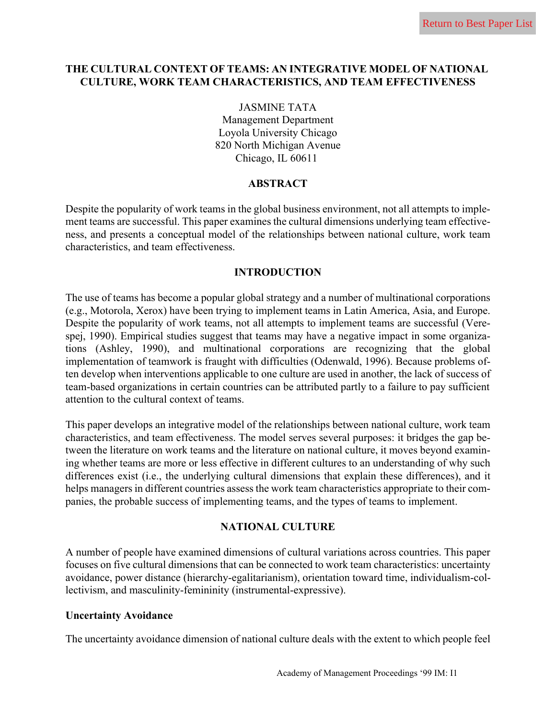#### **THE CULTURAL CONTEXT OF TEAMS: AN INTEGRATIVE MODEL OF NATIONAL CULTURE, WORK TEAM CHARACTERISTICS, AND TEAM EFFECTIVENESS**

JASMINE TATA Management Department Loyola University Chicago 820 North Michigan Avenue Chicago, IL 60611

#### **ABSTRACT**

Despite the popularity of work teams in the global business environment, not all attempts to implement teams are successful. This paper examines the cultural dimensions underlying team effectiveness, and presents a conceptual model of the relationships between national culture, work team characteristics, and team effectiveness.

#### **INTRODUCTION**

The use of teams has become a popular global strategy and a number of multinational corporations (e.g., Motorola, Xerox) have been trying to implement teams in Latin America, Asia, and Europe. Despite the popularity of work teams, not all attempts to implement teams are successful (Verespej, 1990). Empirical studies suggest that teams may have a negative impact in some organizations (Ashley, 1990), and multinational corporations are recognizing that the global implementation of teamwork is fraught with difficulties (Odenwald, 1996). Because problems often develop when interventions applicable to one culture are used in another, the lack of success of team-based organizations in certain countries can be attributed partly to a failure to pay sufficient attention to the cultural context of teams.

This paper develops an integrative model of the relationships between national culture, work team characteristics, and team effectiveness. The model serves several purposes: it bridges the gap between the literature on work teams and the literature on national culture, it moves beyond examining whether teams are more or less effective in different cultures to an understanding of why such differences exist (i.e., the underlying cultural dimensions that explain these differences), and it helps managers in different countries assess the work team characteristics appropriate to their companies, the probable success of implementing teams, and the types of teams to implement.

#### **NATIONAL CULTURE**

A number of people have examined dimensions of cultural variations across countries. This paper focuses on five cultural dimensions that can be connected to work team characteristics: uncertainty avoidance, power distance (hierarchy-egalitarianism), orientation toward time, individualism-collectivism, and masculinity-femininity (instrumental-expressive).

#### **Uncertainty Avoidance**

The uncertainty avoidance dimension of national culture deals with the extent to which people feel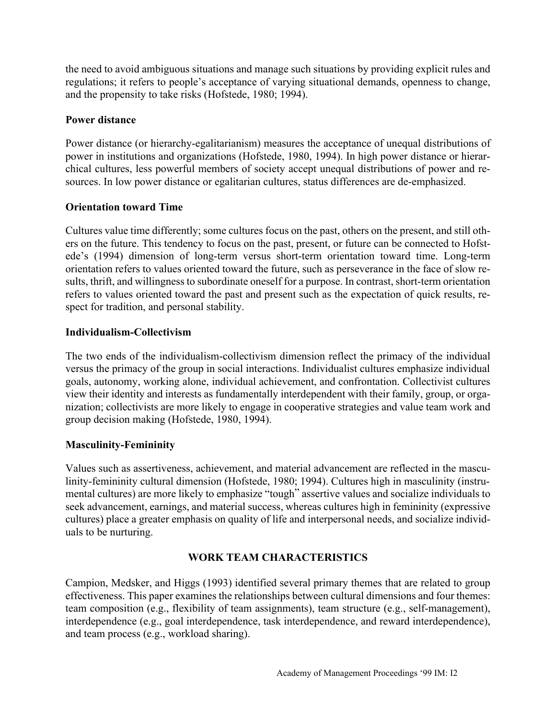the need to avoid ambiguous situations and manage such situations by providing explicit rules and regulations; it refers to people's acceptance of varying situational demands, openness to change, and the propensity to take risks (Hofstede, 1980; 1994).

### **Power distance**

Power distance (or hierarchy-egalitarianism) measures the acceptance of unequal distributions of power in institutions and organizations (Hofstede, 1980, 1994). In high power distance or hierarchical cultures, less powerful members of society accept unequal distributions of power and resources. In low power distance or egalitarian cultures, status differences are de-emphasized.

#### **Orientation toward Time**

Cultures value time differently; some cultures focus on the past, others on the present, and still others on the future. This tendency to focus on the past, present, or future can be connected to Hofstede's (1994) dimension of long-term versus short-term orientation toward time. Long-term orientation refers to values oriented toward the future, such as perseverance in the face of slow results, thrift, and willingness to subordinate oneself for a purpose. In contrast, short-term orientation refers to values oriented toward the past and present such as the expectation of quick results, respect for tradition, and personal stability.

#### **Individualism-Collectivism**

The two ends of the individualism-collectivism dimension reflect the primacy of the individual versus the primacy of the group in social interactions. Individualist cultures emphasize individual goals, autonomy, working alone, individual achievement, and confrontation. Collectivist cultures view their identity and interests as fundamentally interdependent with their family, group, or organization; collectivists are more likely to engage in cooperative strategies and value team work and group decision making (Hofstede, 1980, 1994).

# **Masculinity-Femininity**

Values such as assertiveness, achievement, and material advancement are reflected in the masculinity-femininity cultural dimension (Hofstede, 1980; 1994). Cultures high in masculinity (instrumental cultures) are more likely to emphasize "tough" assertive values and socialize individuals to seek advancement, earnings, and material success, whereas cultures high in femininity (expressive cultures) place a greater emphasis on quality of life and interpersonal needs, and socialize individuals to be nurturing.

# **WORK TEAM CHARACTERISTICS**

Campion, Medsker, and Higgs (1993) identified several primary themes that are related to group effectiveness. This paper examines the relationships between cultural dimensions and four themes: team composition (e.g., flexibility of team assignments), team structure (e.g., self-management), interdependence (e.g., goal interdependence, task interdependence, and reward interdependence), and team process (e.g., workload sharing).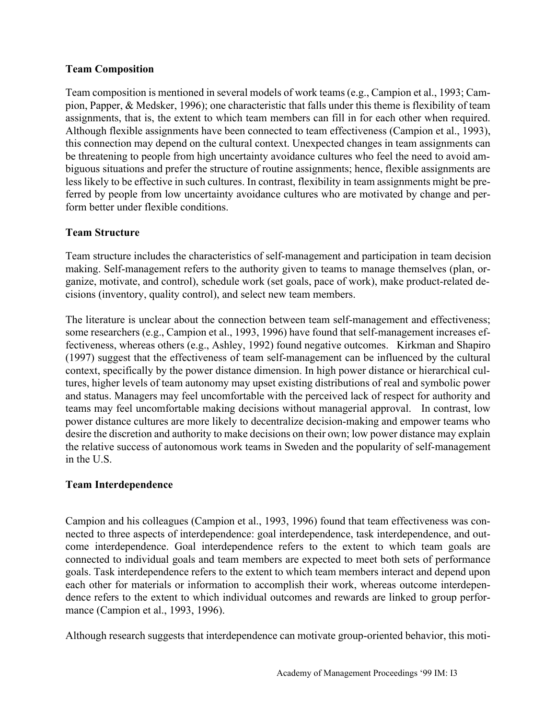### **Team Composition**

Team composition is mentioned in several models of work teams (e.g., Campion et al., 1993; Campion, Papper, & Medsker, 1996); one characteristic that falls under this theme is flexibility of team assignments, that is, the extent to which team members can fill in for each other when required. Although flexible assignments have been connected to team effectiveness (Campion et al., 1993), this connection may depend on the cultural context. Unexpected changes in team assignments can be threatening to people from high uncertainty avoidance cultures who feel the need to avoid ambiguous situations and prefer the structure of routine assignments; hence, flexible assignments are less likely to be effective in such cultures. In contrast, flexibility in team assignments might be preferred by people from low uncertainty avoidance cultures who are motivated by change and perform better under flexible conditions.

# **Team Structure**

Team structure includes the characteristics of self-management and participation in team decision making. Self-management refers to the authority given to teams to manage themselves (plan, organize, motivate, and control), schedule work (set goals, pace of work), make product-related decisions (inventory, quality control), and select new team members.

The literature is unclear about the connection between team self-management and effectiveness; some researchers (e.g., Campion et al., 1993, 1996) have found that self-management increases effectiveness, whereas others (e.g., Ashley, 1992) found negative outcomes. Kirkman and Shapiro (1997) suggest that the effectiveness of team self-management can be influenced by the cultural context, specifically by the power distance dimension. In high power distance or hierarchical cultures, higher levels of team autonomy may upset existing distributions of real and symbolic power and status. Managers may feel uncomfortable with the perceived lack of respect for authority and teams may feel uncomfortable making decisions without managerial approval. In contrast, low power distance cultures are more likely to decentralize decision-making and empower teams who desire the discretion and authority to make decisions on their own; low power distance may explain the relative success of autonomous work teams in Sweden and the popularity of self-management in the U.S.

# **Team Interdependence**

Campion and his colleagues (Campion et al., 1993, 1996) found that team effectiveness was connected to three aspects of interdependence: goal interdependence, task interdependence, and outcome interdependence. Goal interdependence refers to the extent to which team goals are connected to individual goals and team members are expected to meet both sets of performance goals. Task interdependence refers to the extent to which team members interact and depend upon each other for materials or information to accomplish their work, whereas outcome interdependence refers to the extent to which individual outcomes and rewards are linked to group performance (Campion et al., 1993, 1996).

Although research suggests that interdependence can motivate group-oriented behavior, this moti-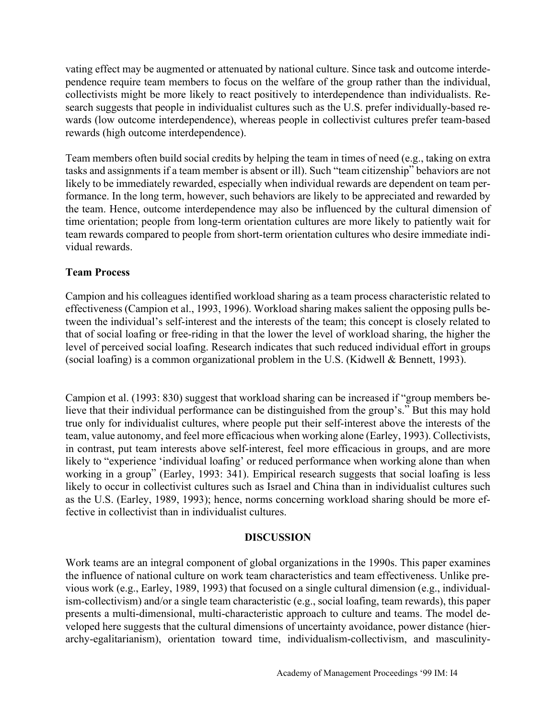vating effect may be augmented or attenuated by national culture. Since task and outcome interdependence require team members to focus on the welfare of the group rather than the individual, collectivists might be more likely to react positively to interdependence than individualists. Research suggests that people in individualist cultures such as the U.S. prefer individually-based rewards (low outcome interdependence), whereas people in collectivist cultures prefer team-based rewards (high outcome interdependence).

Team members often build social credits by helping the team in times of need (e.g., taking on extra tasks and assignments if a team member is absent or ill). Such "team citizenship" behaviors are not likely to be immediately rewarded, especially when individual rewards are dependent on team performance. In the long term, however, such behaviors are likely to be appreciated and rewarded by the team. Hence, outcome interdependence may also be influenced by the cultural dimension of time orientation; people from long-term orientation cultures are more likely to patiently wait for team rewards compared to people from short-term orientation cultures who desire immediate individual rewards.

# **Team Process**

Campion and his colleagues identified workload sharing as a team process characteristic related to effectiveness (Campion et al., 1993, 1996). Workload sharing makes salient the opposing pulls between the individual's self-interest and the interests of the team; this concept is closely related to that of social loafing or free-riding in that the lower the level of workload sharing, the higher the level of perceived social loafing. Research indicates that such reduced individual effort in groups (social loafing) is a common organizational problem in the U.S. (Kidwell & Bennett, 1993).

Campion et al. (1993: 830) suggest that workload sharing can be increased if "group members believe that their individual performance can be distinguished from the group's." But this may hold true only for individualist cultures, where people put their self-interest above the interests of the team, value autonomy, and feel more efficacious when working alone (Earley, 1993). Collectivists, in contrast, put team interests above self-interest, feel more efficacious in groups, and are more likely to "experience 'individual loafing' or reduced performance when working alone than when working in a group" (Earley, 1993: 341). Empirical research suggests that social loafing is less likely to occur in collectivist cultures such as Israel and China than in individualist cultures such as the U.S. (Earley, 1989, 1993); hence, norms concerning workload sharing should be more effective in collectivist than in individualist cultures.

#### **DISCUSSION**

Work teams are an integral component of global organizations in the 1990s. This paper examines the influence of national culture on work team characteristics and team effectiveness. Unlike previous work (e.g., Earley, 1989, 1993) that focused on a single cultural dimension (e.g., individualism-collectivism) and/or a single team characteristic (e.g., social loafing, team rewards), this paper presents a multi-dimensional, multi-characteristic approach to culture and teams. The model developed here suggests that the cultural dimensions of uncertainty avoidance, power distance (hierarchy-egalitarianism), orientation toward time, individualism-collectivism, and masculinity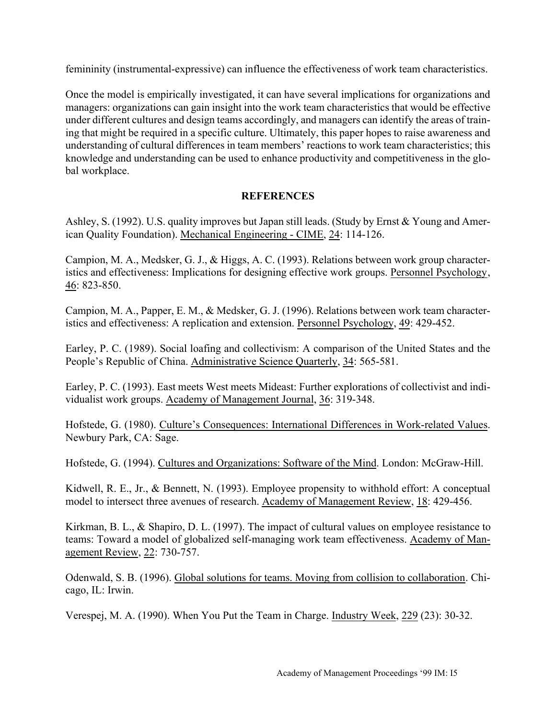femininity (instrumental-expressive) can influence the effectiveness of work team characteristics.

Once the model is empirically investigated, it can have several implications for organizations and managers: organizations can gain insight into the work team characteristics that would be effective under different cultures and design teams accordingly, and managers can identify the areas of training that might be required in a specific culture. Ultimately, this paper hopes to raise awareness and understanding of cultural differences in team members' reactions to work team characteristics; this knowledge and understanding can be used to enhance productivity and competitiveness in the global workplace.

# **REFERENCES**

Ashley, S. (1992). U.S. quality improves but Japan still leads. (Study by Ernst & Young and American Quality Foundation). Mechanical Engineering - CIME, 24: 114-126.

Campion, M. A., Medsker, G. J., & Higgs, A. C. (1993). Relations between work group characteristics and effectiveness: Implications for designing effective work groups. Personnel Psychology, 46: 823-850.

Campion, M. A., Papper, E. M., & Medsker, G. J. (1996). Relations between work team characteristics and effectiveness: A replication and extension. Personnel Psychology, 49: 429-452.

Earley, P. C. (1989). Social loafing and collectivism: A comparison of the United States and the People's Republic of China. Administrative Science Quarterly, 34: 565-581.

Earley, P. C. (1993). East meets West meets Mideast: Further explorations of collectivist and individualist work groups. Academy of Management Journal, 36: 319-348.

Hofstede, G. (1980). Culture's Consequences: International Differences in Work-related Values. Newbury Park, CA: Sage.

Hofstede, G. (1994). Cultures and Organizations: Software of the Mind. London: McGraw-Hill.

Kidwell, R. E., Jr., & Bennett, N. (1993). Employee propensity to withhold effort: A conceptual model to intersect three avenues of research. Academy of Management Review, 18: 429-456.

Kirkman, B. L., & Shapiro, D. L. (1997). The impact of cultural values on employee resistance to teams: Toward a model of globalized self-managing work team effectiveness. Academy of Management Review, 22: 730-757.

Odenwald, S. B. (1996). Global solutions for teams. Moving from collision to collaboration. Chicago, IL: Irwin.

Verespej, M. A. (1990). When You Put the Team in Charge. Industry Week, 229 (23): 30-32.